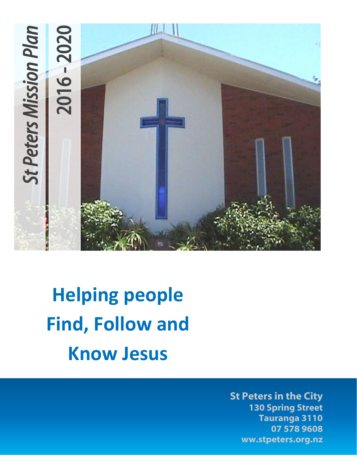

# **Helping people Find, Follow and Know Jesus**

**St Peters in the City 130 Spring Street Tauranga 3110 07 578 9608 ww.stpeters.org.nz**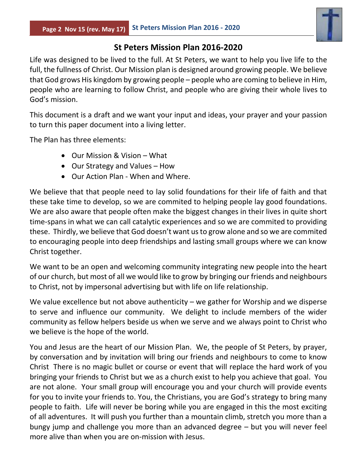

## **St Peters Mission Plan 2016-2020**

Life was designed to be lived to the full. At St Peters, we want to help you live life to the full, the fullness of Christ. Our Mission plan is designed around growing people. We believe that God grows His kingdom by growing people – people who are coming to believe in Him, people who are learning to follow Christ, and people who are giving their whole lives to God's mission.

This document is a draft and we want your input and ideas, your prayer and your passion to turn this paper document into a living letter.

The Plan has three elements:

- Our Mission & Vision What
- Our Strategy and Values How
- Our Action Plan When and Where.

We believe that that people need to lay solid foundations for their life of faith and that these take time to develop, so we are commited to helping people lay good foundations. We are also aware that people often make the biggest changes in their lives in quite short time-spans in what we can call catalytic experiences and so we are commited to providing these. Thirdly, we believe that God doesn't want us to grow alone and so we are commited to encouraging people into deep friendships and lasting small groups where we can know Christ together.

We want to be an open and welcoming community integrating new people into the heart of our church, but most of all we would like to grow by bringing our friends and neighbours to Christ, not by impersonal advertising but with life on life relationship.

We value excellence but not above authenticity  $-$  we gather for Worship and we disperse to serve and influence our community. We delight to include members of the wider community as fellow helpers beside us when we serve and we always point to Christ who we believe is the hope of the world.

You and Jesus are the heart of our Mission Plan. We, the people of St Peters, by prayer, by conversation and by invitation will bring our friends and neighbours to come to know Christ There is no magic bullet or course or event that will replace the hard work of you bringing your friends to Christ but we as a church exist to help you achieve that goal. You are not alone. Your small group will encourage you and your church will provide events for you to invite your friends to. You, the Christians, you are God's strategy to bring many people to faith. Life will never be boring while you are engaged in this the most exciting of all adventures. It will push you further than a mountain climb, stretch you more than a bungy jump and challenge you more than an advanced degree – but you will never feel more alive than when you are on-mission with Jesus.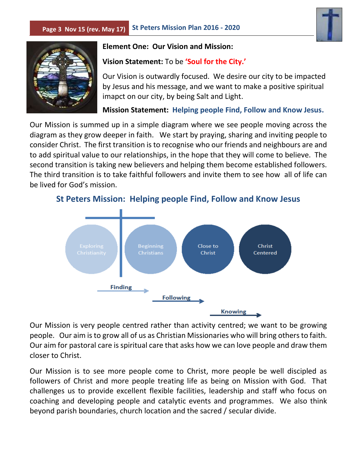



#### **Element One: Our Vision and Mission:**

#### **Vision Statement:** To be **'Soul for the City.'**

Our Vision is outwardly focused. We desire our city to be impacted by Jesus and his message, and we want to make a positive spiritual imapct on our city, by being Salt and Light.

**Mission Statement: Helping people Find, Follow and Know Jesus.**

Our Mission is summed up in a simple diagram where we see people moving across the diagram as they grow deeper in faith. We start by praying, sharing and inviting people to consider Christ. The first transition is to recognise who our friends and neighbours are and to add spiritual value to our relationships, in the hope that they will come to believe. The second transition is taking new believers and helping them become established followers. The third transition is to take faithful followers and invite them to see how all of life can be lived for God's mission.



**St Peters Mission: Helping people Find, Follow and Know Jesus**

Our Mission is very people centred rather than activity centred; we want to be growing people. Our aim is to grow all of us as Christian Missionaries who will bring others to faith. Our aim for pastoral care is spiritual care that asks how we can love people and draw them closer to Christ.

Our Mission is to see more people come to Christ, more people be well discipled as followers of Christ and more people treating life as being on Mission with God. That challenges us to provide excellent flexible facilities, leadership and staff who focus on coaching and developing people and catalytic events and programmes. We also think beyond parish boundaries, church location and the sacred / secular divide.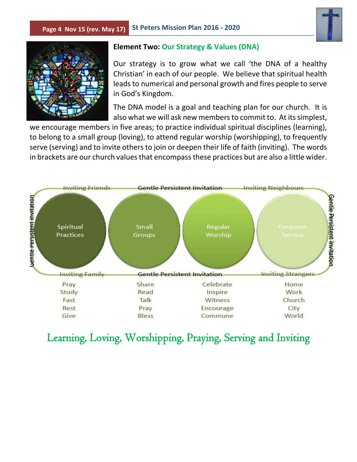#### **Page 4 Nov 15 (rev. May 17) St Peters Mission Plan 2016 - 2020**





#### **Element Two: Our Strategy & Values (DNA)**

Our strategy is to grow what we call 'the DNA of a healthy Christian' in each of our people. We believe that spiritual health leads to numerical and personal growth and fires people to serve in God's Kingdom.

The DNA model is a goal and teaching plan for our church. It is also what we will ask new members to commit to. At its simplest,

we encourage members in five areas; to practice individual spiritual disciplines (learning), to belong to a small group (loving), to attend regular worship (worshipping), to frequently serve (serving) and to invite others to join or deepen their life of faith (inviting). The words in brackets are our church values that encompass these practices but are also a little wider.



## Learning, Loving, Worshipping, Praying, Serving and Inviting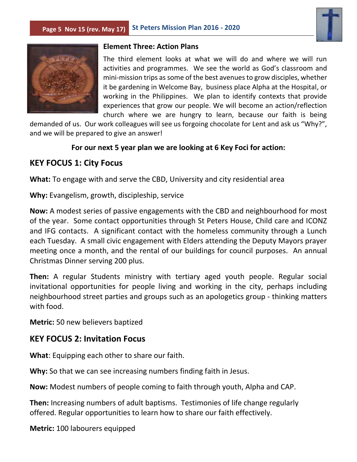



#### **Element Three: Action Plans**

The third element looks at what we will do and where we will run activities and programmes. We see the world as God's classroom and mini-mission trips as some of the best avenues to grow disciples, whether it be gardening in Welcome Bay, business place Alpha at the Hospital, or working in the Philippines. We plan to identify contexts that provide experiences that grow our people. We will become an action/reflection church where we are hungry to learn, because our faith is being

demanded of us. Our work colleagues will see us forgoing chocolate for Lent and ask us "Why?", and we will be prepared to give an answer!

#### **For our next 5 year plan we are looking at 6 Key Foci for action:**

## **KEY FOCUS 1: City Focus**

**What:** To engage with and serve the CBD, University and city residential area

**Why:** Evangelism, growth, discipleship, service

**Now:** A modest series of passive engagements with the CBD and neighbourhood for most of the year. Some contact opportunities through St Peters House, Child care and ICONZ and IFG contacts. A significant contact with the homeless community through a Lunch each Tuesday. A small civic engagement with Elders attending the Deputy Mayors prayer meeting once a month, and the rental of our buildings for council purposes. An annual Christmas Dinner serving 200 plus.

**Then:** A regular Students ministry with tertiary aged youth people. Regular social invitational opportunities for people living and working in the city, perhaps including neighbourhood street parties and groups such as an apologetics group - thinking matters with food.

**Metric:** 50 new believers baptized

## **KEY FOCUS 2: Invitation Focus**

**What**: Equipping each other to share our faith.

**Why:** So that we can see increasing numbers finding faith in Jesus.

**Now:** Modest numbers of people coming to faith through youth, Alpha and CAP.

**Then:** Increasing numbers of adult baptisms. Testimonies of life change regularly offered. Regular opportunities to learn how to share our faith effectively.

**Metric:** 100 labourers equipped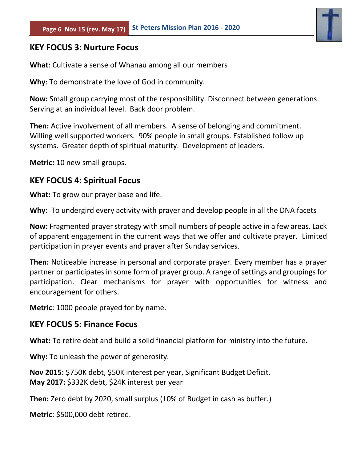

## **KEY FOCUS 3: Nurture Focus**

**What**: Cultivate a sense of Whanau among all our members

**Why**: To demonstrate the love of God in community.

**Now:** Small group carrying most of the responsibility. Disconnect between generations. Serving at an individual level. Back door problem.

**Then:** Active involvement of all members. A sense of belonging and commitment. Willing well supported workers. 90% people in small groups. Established follow up systems. Greater depth of spiritual maturity. Development of leaders.

**Metric:** 10 new small groups.

## **KEY FOCUS 4: Spiritual Focus**

**What:** To grow our prayer base and life.

**Why:** To undergird every activity with prayer and develop people in all the DNA facets

**Now:** Fragmented prayer strategy with small numbers of people active in a few areas. Lack of apparent engagement in the current ways that we offer and cultivate prayer. Limited participation in prayer events and prayer after Sunday services.

**Then:** Noticeable increase in personal and corporate prayer. Every member has a prayer partner or participates in some form of prayer group. A range of settings and groupings for participation. Clear mechanisms for prayer with opportunities for witness and encouragement for others.

**Metric**: 1000 people prayed for by name.

## **KEY FOCUS 5: Finance Focus**

**What:** To retire debt and build a solid financial platform for ministry into the future.

**Why:** To unleash the power of generosity.

**Nov 2015:** \$750K debt, \$50K interest per year, Significant Budget Deficit. **May 2017:** \$332K debt, \$24K interest per year

**Then:** Zero debt by 2020, small surplus (10% of Budget in cash as buffer.)

**Metric**: \$500,000 debt retired.